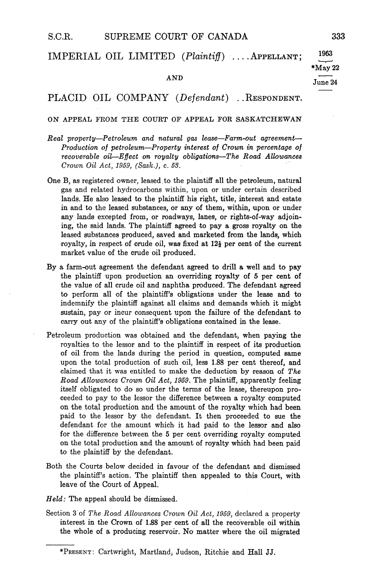## IMPERIAL OIL LIMITED  $(Plaintiff)$  ... APPELLANT;

# $\overline{\text{AND}}$   $\overline{\text{June 24}}$

## PLACID OIL COMPANY (Defendant) .. RESPONDENT.

#### ON APPEAL FROM THE COURT OF APPEAL FOR SASKATCHEWAN

- Real property-Petroleum and natural gas lease-Farm-out agreement-Production of petroleum-Property interest of Crown in percentage of  $recoverede$  oil— $Effect$  on royalty obligations—The Road Allowances Crown Oil Act, 1959,  $(Sask.)$ , c. 53.
- One B, as registered owner, leased to the plaintiff all the petroleum, natural gas and related hydrocarbons within, upon or under certain described lands. He also leased to the plaintiff his right, title, interest and estate in and to the leased substances, or any of them, within, upon or under any lands excepted from, or roadways, lanes, or rights-of-way adjoining, the said lands. The plaintiff agreed to pay a gross royalty on the leased substances produced, saved and marketed from the lands, which royalty, in respect of crude oil, was fixed at  $12\frac{1}{2}$  per cent of the current market value of the crude oil produced
- By a farm-out agreement the defendant agreed to drill a well and to pay the plaintiff upon production an overriding royalty of 5 per cent of the value of all crude oil and naphtha produced. The defendant agreed to perform all of the plaintiffs obligations under the lease and to indemnify the plaintiff against all claims and demands which it might sustain, pay or incur consequent upon the failure of the defendant to carry out any of the plaintiff's obligations contained in the lease.
- Petroleum production was obtained and the defendant, when paying the royalties to bhe lessor and to the plaintiff in respect of its production of oil from the lands during the period in question, computed same upon the total production of such oil, less 1.88 per cent thereof, and claimed that it was entitled to make the deduction by reason of The Road Allowances Crown Oil Act, 1959. The plaintiff, apparently feeling itself obligated to do so under the terms of the lease, thereupon proceeded to pay to the lessor the difference between a royalty computed on the total production and the amount of the royalty which had been paid to the lessor by the defendant. It then proceeded to sue the defendant for the amount which it had paid to the lessor and also for the difference between the 5 per cent overriding royalty computed on the total production and the amount of royalty which had been paid to the plaintiff by the defendant
- Both the Courts below decided in favour of the defendant and dismissed the plaintiff's action. The plaintiff then appealed to this Court, with leave of the Court of Appeal
- $Held$ : The appeal should be dismissed.
- Section 3 of The Road Allowances Crown Oil Act, 1959, declared a property interest in the Crown of 1.88 per cent of all the recoverable oil within the whole of a producing reservoir. No matter where the oil migrated

 $*$ May 22

1963

<sup>\*</sup>PRESENT: Cartwright, Martland, Judson, Ritchie and Hall JJ.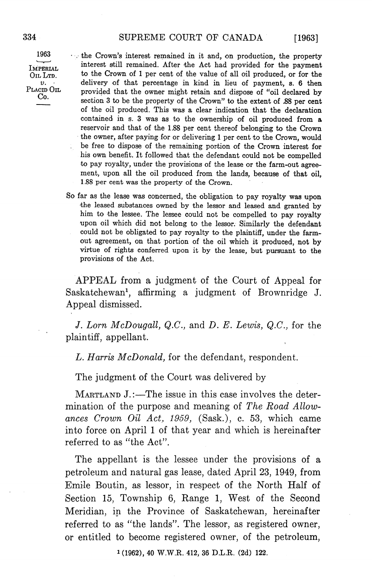[1963]

1963 the Crown's interest remained in it and, on production, the property IMPERIAL interest still remained. After the Act had provided for the payment OIL LTD. to the Crown of 1 per cent of the value of all oil produced, or for the delivery of that percentage in kind in lieu of payment, s. 6 then  $v.$  delivery of that percentage in kind in lieu of payment, s. 6 then<br>PLACID OIL provided that the owner might retain and dispose of "oil declared by<br>Co. section 3 to be the property of the Crown" to the extent of .88 per cent of the oil produced. This was a clear indication that the declaration contained in s. 3 was as to the ownership of oil produced from a reservoir and that of the 1.88 per cent thereof belonging to the Crown the owner, after paying for or delivering 1 per cent to the Crown, would be free to dispose of the remaining portion of the Crown interest for his own benefit. It followed that the defendant could not be compelled to pay royalty, under the provisions of the lease or the farm-out agreement, upon all the oil produced from the lands, because of that oil, 1.88 per cent was the property of the Crown

> So far as the lease was concerned, the obligation to pay royalty was upon the leased substances owned by the lessor and leased and granted by him to the lessee The lessee could not be compelled to pay royalty upon oil which did not belong to the lessor Similarly the defendant could not be obligated to pay royalty to the plaintiff, under the farmout agreement, on that portion of the oil which it produced, not by virtue of rights conferred upon it by the lease, but pursuant to the provisions of the Act

> APPEAL from a judgment of the Court of Appeal for Saskatchewan<sup>1</sup>, affirming a judgment of Brownridge J. Appeal dismissed

> J. Lorn McDougall, Q.C., and D. E. Lewis, Q.C., for the plaintiff, appellant.

L. Harris  $McDonald$ , for the defendant, respondent.

The judgment of the Court was delivered by

MARTLAND  $J$ .:—The issue in this case involves the determination of the purpose and meaning of The Road Allowances Crown Oil Act, 1959,  $(Sask.)$ , c. 53, which came into force on April 1 of that year and which is hereinafter referred to as "the Act".

The appellant is the lessee under the provisions of a petroleum and natural gas lease, dated April 23, 1949, from Emile Boutin, as lessor, in respect of the North Half of Section 15, Township 6, Range 1, West of the Second Meridian, in the Province of Saskatchewan, hereinafter referred to as "the lands". The lessor, as registered owner, or entitled to become registered owner, of the petroleum,

 $1(1962)$ , 40 W.W.R. 412, 36 D.L.R. (2d) 122.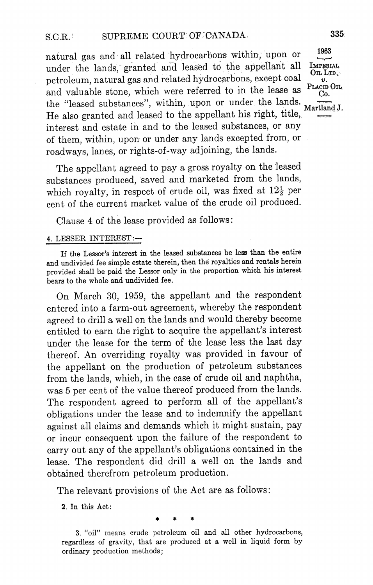natural gas and all related hydrocarbons within, upon or under the lands, granted and leased to the appellant all petroleum, natural gas and related hydrocarbons, except coal and valuable stone, which were referred to in the lease as and valuable stone, which were referred to in the lease as  $\frac{C_0}{C_0}$ .<br>the "leased substances", within, upon or under the lands. He also granted and leased to the appellant his right, title, interest and estate in and to the leased substances or any of them, within, upon or under any lands excepted from, or roadways, lanes, or rights-of-way adjoining, the lands.

The appellant agreed to pay a gross royalty on the leased substances produced, saved and marketed from the lands, which royalty, in respect of crude oil, was fixed at  $12\frac{1}{2}$  per cent of the current market value of the crude oil produced

Clause 4 of the lease provided as follows:

#### 4. LESSER INTEREST:-

If the Lessor's interest in the leased substances be less than the entire and undivided fee simple estate therein, then the royalties and rentals herein provided shall be paid the Lessor only in the proportion which his interest bears to the whole and undivided fee

On March 30, 1959, the appellant and the respondent entered into a farm-out agreement, whereby the respondent agreed to drill a well on the lands and would thereby become entitled to earn the right to acquire the appellant's interest under the lease for the term of the lease less the last day thereof. An overriding royalty was provided in favour of the appellant on the production of petroleum substances from the lands, which, in the case of crude oil and naphtha, was 5 per cent of the value thereof produced from the lands. The respondent agreed to perform all of the appellant's obligations under the lease and to indemnify the appellant against all claims and demands which it might sustain, pay or incur consequent upon the failure of the respondent to carry out any of the appellant's obligations contained in the lease. The respondent did drill a well on the lands and obtained therefrom petroleum production

The relevant provisions of the Act are as follows:

2. In this Act:

3. "oil" means crude petroleum oil and all other hydrocarbons, regardless of gravity, that are produced at a well in liquid form by ordinary production methods

1963 **IMPERIAL** On LTD.  $v.$ PLACID OIL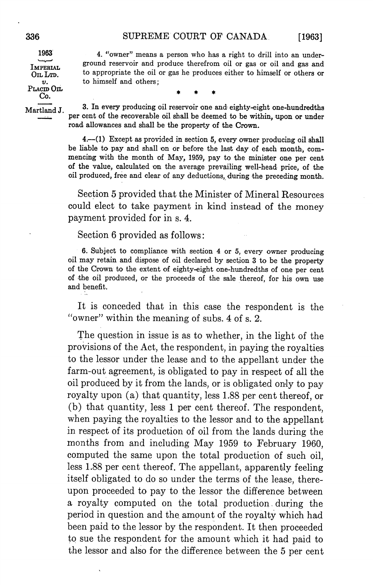**IMPERIAL** OIL LTD.  $v.$ PLACID On.  $Co.$ 

1963 4. "owner" means a person who has a right to drill into an underground reservoir and produce therefrom oil or gas or oil and gas and to appropriate the oil or gas he produces either to himself or others or to himself and others

Martland J. 3. In every producing oil reservoir one and eighty-eight one-hundredths per cent of the recoverable oil shall be deemed to be within, upon or under road allowances and shall be the property of the Crown

> $4-(1)$  Except as provided in section 5, every owner producing oil shall be liable to pay and shall on or before the last day of each month, commencing with the month of May, 1959, pay to the minister one per cent of the value, calculated on the average prevailing well-head price, of the oil produced, free and clear of any deductions, during the preceding month.

> Section 5 provided that the Minister of Mineral Resources could elect to take payment in kind instead of the money payment provided for in s. 4.

Section 6 provided as follows:

6. Subject to compliance with section 4 or 5, every owner producing oil may retain and dispose of oil declared by section 3 to be the property of the Crown to the extent of eighty-eight one-hundredths of one per cent of the oil produced, or the proceeds of the sale thereof, for his own use and benefit

It is conceded that in this case the respondent is the "owner" within the meaning of subs.  $4$  of s. 2.

The question in issue is as to whether, in the light of the provisions of the Act, the respondent, in paying the royalties to the lessor under the lease and to the appellant under the farm-out agreement, is obligated to pay in respect of all the oil produced by it from the lands, or is obligated only to pay royalty upon  $(a)$  that quantity, less 1.88 per cent thereof, or (b) that quantity, less  $1$  per cent thereof. The respondent, when paying the royalties to the lessor and to the appellant in respect of its production of oil from the lands during the months from and including May <sup>1959</sup> to February 1960 computed the same upon the total production of such oil less 1.88 per cent thereof. The appellant, apparently feeling itself obligated to do so under the terms of the lease, thereupon proceeded to pay to the lessor the difference between royalty computed on the total production during the period in question and the amount of the royalty which had been paid to the lessor by the respondent. It then proceeded to sue the respondent for the amount which it had paid to the lessor and also for the difference between the 5 per cent

 $[1963]$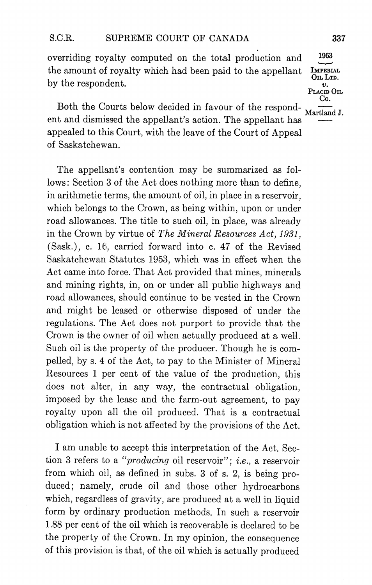overriding royalty computed on the total production and the amount of royalty which had been paid to the appellant  $\frac{M_{\text{PERIAL}}}{\text{Out }L_{\text{TD}}}$ by the respondent.  $\frac{d}{dx}$ <br>PLACID OIL

Both the Courts below decided in favour of the respond- $\frac{1}{\text{Martland J}}$ . ent and dismissed the appellant's action. The appellant has appealed to this Court, with the leave of the Court of Appeal of Saskatchewan

The appellant's contention may be summarized as follows: Section 3 of the Act does nothing more than to define, in arithmetic terms, the amount of oil, in place in a reservoir, which belongs to the Crown, as being within, upon or under road allowances. The title to such oil, in place, was already in the Crown by virtue of The Mineral Resources Act, 1931,  $(Sask.)$ , c. 16, carried forward into c. 47 of the Revised Saskatchewan Statutes 1953 which was in effect when the Act came into force. That Act provided that mines, minerals and mining rights, in, on or under all public highways and road allowances, should continue to be vested in the Crown and might be leased or otherwise disposed of under the regulations. The Act does not purport to provide that the Crown is the owner of oil when actually produced at a well. Such oil is the property of the producer. Though he is compelled, by s. 4 of the Act, to pay to the Minister of Mineral Resources 1 per cent of the value of the production, this does not alter, in any way, the contractual obligation, imposed by the lease and the farm-out agreement, to pay royalty upon all the oil produced. That is a contractual obligation which is not affected by the provisions of the Act

I am unable to accept this interpretation of the Act. Section 3 refers to a "*producing* oil reservoir"; *i.e.*, a reservoir from which oil, as defined in subs.  $3$  of s.  $2$ , is being produced; namely, crude oil and those other hydrocarbons which, regardless of gravity, are produced at a well in liquid form by ordinary production methods. In such a reservoir 1.88 per cent of the oil which is recoverable is declared to be the property of the Crown. In my opinion, the consequence of this provision is that, of the oil which is actually produced

Co.

1963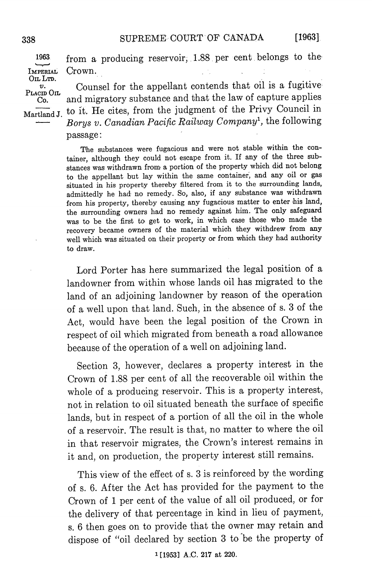$[1963]$ 

from a producing reservoir, 1.88 per cent belongs to the 1963 IMPERIAL Crown. OIL LTD.

 $v.$  Placid Oil Counsel for the appellant contends that oil is a fugitive Co. and migratory substance and that the law of capture applies Martland J. to it. He cites, from the judgment of the Privy Council in Borys v. Canadian Pacific Railway Company<sup>1</sup>, the following passage

> The substances were fugacious and were not stable within the con tainer, although they could not escape from it. If any of the three substances was withdrawn from a portion of the property which did not belong to the appellant but lay within the same container, and any oil or gas situated in his property thereby filtered from it to the surrounding lands admittedly he had no remedy. So, also, if any substance was withdrawn from his property, thereby causing any fugacious matter to enter his land, the surrounding owners had no remedy against him. The only safeguard was to be the first to get to work in which case those who made the recovery became owners of the material which they withdrew from any well which was situated on their property or from which they had authority to draw

> Lord Porter has here summarized the legal position of a landowner from within whose lands oil has migrated to the land of an adjoining landowner by reason of the operation of a well upon that land. Such, in the absence of s. 3 of the Act, would have been the legal position of the Crown in respect of oil which migrated from beneath a road allowance because of the operation of a well on adjoining land.

> Section 3, however, declares a property interest in the Crown of 1.88 per cent of all the recoverable oil within the whole of a producing reservoir. This is a property interest, not in relation to oil situated beneath the surface of specific lands, but in respect of a portion of all the oil in the whole of a reservoir. The result is that, no matter to where the oil in that reservoir migrates, the Crown's interest remains in it and, on production, the property interest still remains.

> This view of the effect of s. 3 is reinforced by the wording of s. 6. After the Act has provided for the payment to the Crown of 1 per cent of the value of all oil produced, or for the delivery of that percentage in kind in lieu of payment s. 6 then goes on to provide that the owner may retain and dispose of "oil declared by section 3 to be the property of